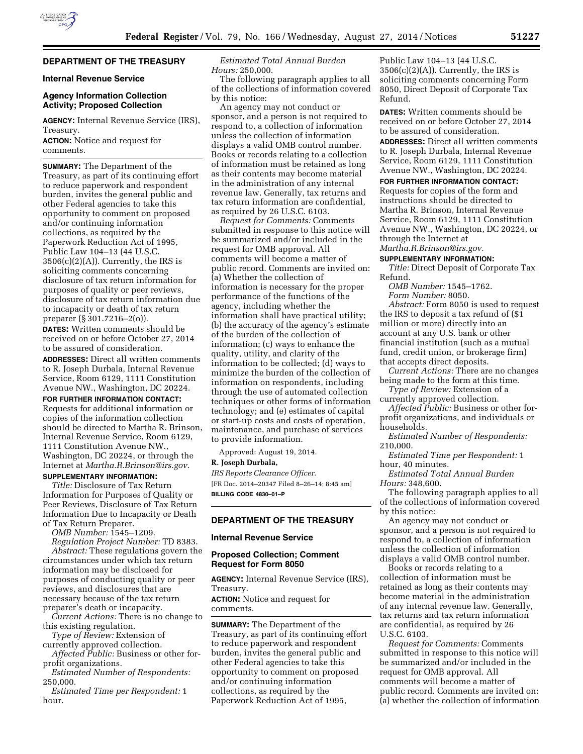# **DEPARTMENT OF THE TREASURY**

### **Internal Revenue Service**

## **Agency Information Collection Activity; Proposed Collection**

**AGENCY:** Internal Revenue Service (IRS), Treasury.

**ACTION:** Notice and request for comments.

**SUMMARY:** The Department of the Treasury, as part of its continuing effort to reduce paperwork and respondent burden, invites the general public and other Federal agencies to take this opportunity to comment on proposed and/or continuing information collections, as required by the Paperwork Reduction Act of 1995, Public Law 104–13 (44 U.S.C.  $3506(c)(2)(A)$ . Currently, the IRS is soliciting comments concerning disclosure of tax return information for purposes of quality or peer reviews, disclosure of tax return information due to incapacity or death of tax return preparer (§ 301.7216–2(o)).

**DATES:** Written comments should be received on or before October 27, 2014 to be assured of consideration.

**ADDRESSES:** Direct all written comments to R. Joseph Durbala, Internal Revenue Service, Room 6129, 1111 Constitution Avenue NW., Washington, DC 20224.

**FOR FURTHER INFORMATION CONTACT:**  Requests for additional information or copies of the information collection should be directed to Martha R. Brinson, Internal Revenue Service, Room 6129, 1111 Constitution Avenue NW., Washington, DC 20224, or through the Internet at *[Martha.R.Brinson@irs.gov.](mailto:Martha.R.Brinson@irs.gov)* 

# **SUPPLEMENTARY INFORMATION:**

*Title:* Disclosure of Tax Return Information for Purposes of Quality or Peer Reviews, Disclosure of Tax Return Information Due to Incapacity or Death of Tax Return Preparer.

*OMB Number:* 1545–1209. *Regulation Project Number:* TD 8383. *Abstract:* These regulations govern the circumstances under which tax return information may be disclosed for purposes of conducting quality or peer reviews, and disclosures that are necessary because of the tax return

preparer's death or incapacity. *Current Actions:* There is no change to this existing regulation.

*Type of Review:* Extension of currently approved collection.

*Affected Public:* Business or other forprofit organizations.

*Estimated Number of Respondents:*  250,000.

*Estimated Time per Respondent:* 1 hour.

*Estimated Total Annual Burden Hours:* 250,000.

The following paragraph applies to all of the collections of information covered by this notice:

An agency may not conduct or sponsor, and a person is not required to respond to, a collection of information unless the collection of information displays a valid OMB control number. Books or records relating to a collection of information must be retained as long as their contents may become material in the administration of any internal revenue law. Generally, tax returns and tax return information are confidential, as required by 26 U.S.C. 6103.

*Request for Comments:* Comments submitted in response to this notice will be summarized and/or included in the request for OMB approval. All comments will become a matter of public record. Comments are invited on: (a) Whether the collection of information is necessary for the proper performance of the functions of the agency, including whether the information shall have practical utility; (b) the accuracy of the agency's estimate of the burden of the collection of information; (c) ways to enhance the quality, utility, and clarity of the information to be collected; (d) ways to minimize the burden of the collection of information on respondents, including through the use of automated collection techniques or other forms of information technology; and (e) estimates of capital or start-up costs and costs of operation, maintenance, and purchase of services to provide information.

Approved: August 19, 2014.

### **R. Joseph Durbala,**

*IRS Reports Clearance Officer.*  [FR Doc. 2014–20347 Filed 8–26–14; 8:45 am] **BILLING CODE 4830–01–P** 

## **DEPARTMENT OF THE TREASURY**

## **Internal Revenue Service**

## **Proposed Collection; Comment Request for Form 8050**

**AGENCY:** Internal Revenue Service (IRS), Treasury.

**ACTION:** Notice and request for comments.

**SUMMARY:** The Department of the Treasury, as part of its continuing effort to reduce paperwork and respondent burden, invites the general public and other Federal agencies to take this opportunity to comment on proposed and/or continuing information collections, as required by the Paperwork Reduction Act of 1995,

Public Law 104–13 (44 U.S.C.  $3506(c)(2)(A)$ . Currently, the IRS is soliciting comments concerning Form 8050, Direct Deposit of Corporate Tax Refund.

**DATES:** Written comments should be received on or before October 27, 2014 to be assured of consideration.

**ADDRESSES:** Direct all written comments to R. Joseph Durbala, Internal Revenue Service, Room 6129, 1111 Constitution Avenue NW., Washington, DC 20224.

**FOR FURTHER INFORMATION CONTACT:**  Requests for copies of the form and instructions should be directed to Martha R. Brinson, Internal Revenue Service, Room 6129, 1111 Constitution Avenue NW., Washington, DC 20224, or through the Internet at *[Martha.R.Brinson@irs.gov.](mailto:Martha.R.Brinson@irs.gov)* 

#### **SUPPLEMENTARY INFORMATION:**

*Title:* Direct Deposit of Corporate Tax Refund.

*OMB Number:* 1545–1762.

*Form Number:* 8050. *Abstract:* Form 8050 is used to request the IRS to deposit a tax refund of (\$1 million or more) directly into an account at any U.S. bank or other financial institution (such as a mutual fund, credit union, or brokerage firm) that accepts direct deposits.

*Current Actions:* There are no changes being made to the form at this time.

*Type of Review:* Extension of a currently approved collection.

*Affected Public:* Business or other forprofit organizations, and individuals or households.

*Estimated Number of Respondents:*  210,000.

*Estimated Time per Respondent:* 1 hour, 40 minutes.

*Estimated Total Annual Burden Hours:* 348,600.

The following paragraph applies to all of the collections of information covered by this notice:

An agency may not conduct or sponsor, and a person is not required to respond to, a collection of information unless the collection of information displays a valid OMB control number.

Books or records relating to a collection of information must be retained as long as their contents may become material in the administration of any internal revenue law. Generally, tax returns and tax return information are confidential, as required by 26 U.S.C. 6103.

*Request for Comments:* Comments submitted in response to this notice will be summarized and/or included in the request for OMB approval. All comments will become a matter of public record. Comments are invited on: (a) whether the collection of information